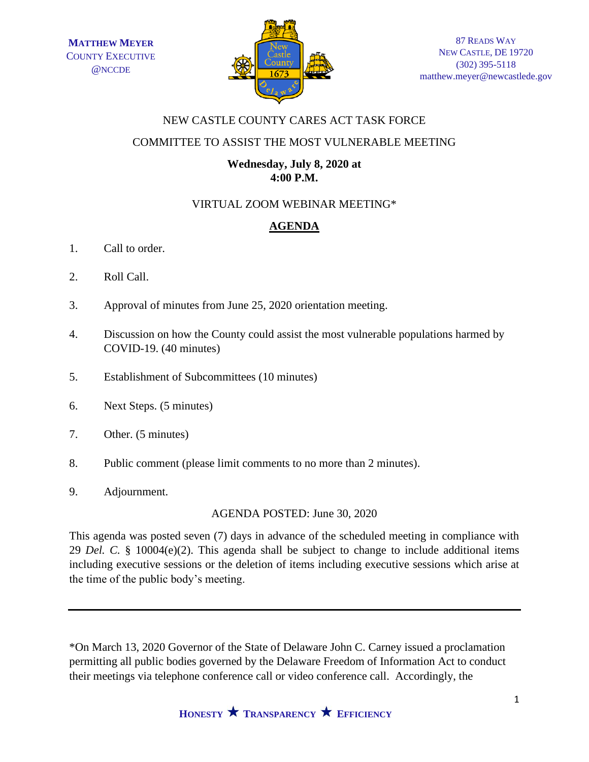

## NEW CASTLE COUNTY CARES ACT TASK FORCE

### COMMITTEE TO ASSIST THE MOST VULNERABLE MEETING

### **Wednesday, July 8, 2020 at 4:00 P.M.**

# VIRTUAL ZOOM WEBINAR MEETING\*

# **AGENDA**

- 1. Call to order.
- 2. Roll Call.
- 3. Approval of minutes from June 25, 2020 orientation meeting.
- 4. Discussion on how the County could assist the most vulnerable populations harmed by COVID-19. (40 minutes)
- 5. Establishment of Subcommittees (10 minutes)
- 6. Next Steps. (5 minutes)
- 7. Other. (5 minutes)
- 8. Public comment (please limit comments to no more than 2 minutes).
- 9. Adjournment.

AGENDA POSTED: June 30, 2020

This agenda was posted seven (7) days in advance of the scheduled meeting in compliance with 29 *Del. C.* § 10004(e)(2). This agenda shall be subject to change to include additional items including executive sessions or the deletion of items including executive sessions which arise at the time of the public body's meeting.

\*On March 13, 2020 Governor of the State of Delaware John C. Carney issued a proclamation permitting all public bodies governed by the Delaware Freedom of Information Act to conduct their meetings via telephone conference call or video conference call. Accordingly, the